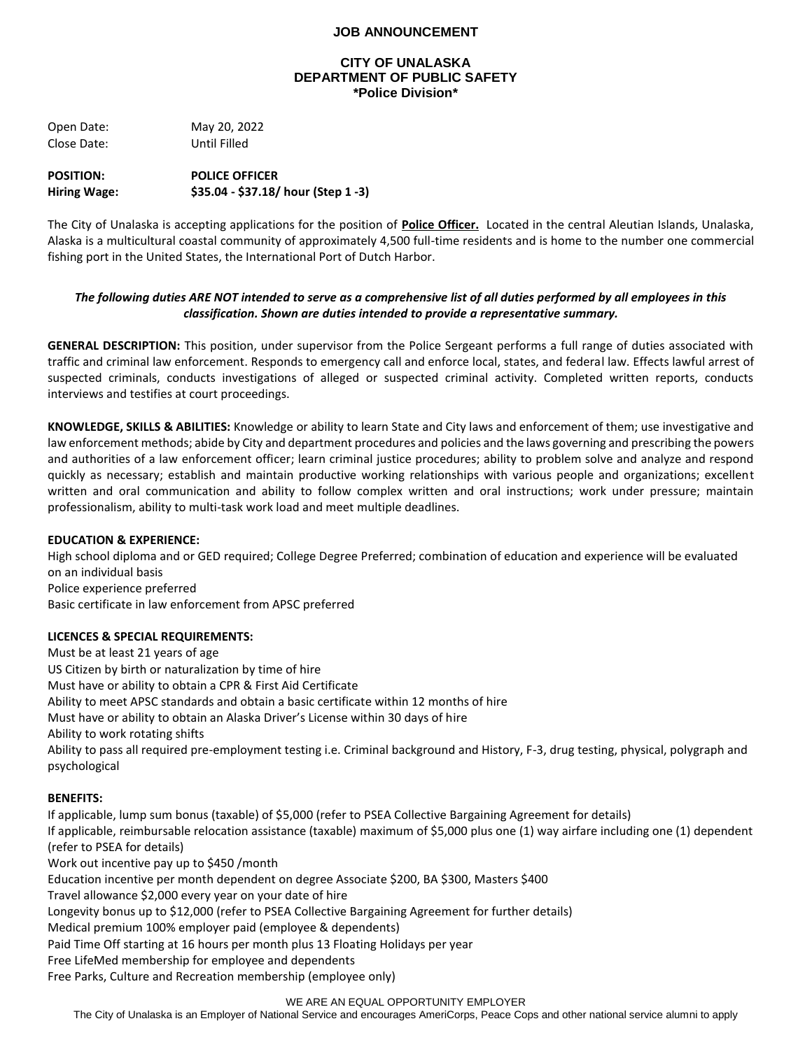## **JOB ANNOUNCEMENT**

#### **CITY OF UNALASKA DEPARTMENT OF PUBLIC SAFETY \*Police Division\***

Open Date: May 20, 2022 Close Date: Until Filled

**POSITION: POLICE OFFICER Hiring Wage: \$35.04 - \$37.18/ hour (Step 1 -3)** 

The City of Unalaska is accepting applications for the position of **Police Officer.** Located in the central Aleutian Islands, Unalaska, Alaska is a multicultural coastal community of approximately 4,500 full-time residents and is home to the number one commercial fishing port in the United States, the International Port of Dutch Harbor.

## *The following duties ARE NOT intended to serve as a comprehensive list of all duties performed by all employees in this classification. Shown are duties intended to provide a representative summary.*

**GENERAL DESCRIPTION:** This position, under supervisor from the Police Sergeant performs a full range of duties associated with traffic and criminal law enforcement. Responds to emergency call and enforce local, states, and federal law. Effects lawful arrest of suspected criminals, conducts investigations of alleged or suspected criminal activity. Completed written reports, conducts interviews and testifies at court proceedings.

**KNOWLEDGE, SKILLS & ABILITIES:** Knowledge or ability to learn State and City laws and enforcement of them; use investigative and law enforcement methods; abide by City and department procedures and policies and the laws governing and prescribing the powers and authorities of a law enforcement officer; learn criminal justice procedures; ability to problem solve and analyze and respond quickly as necessary; establish and maintain productive working relationships with various people and organizations; excellent written and oral communication and ability to follow complex written and oral instructions; work under pressure; maintain professionalism, ability to multi-task work load and meet multiple deadlines.

### **EDUCATION & EXPERIENCE:**

High school diploma and or GED required; College Degree Preferred; combination of education and experience will be evaluated on an individual basis Police experience preferred Basic certificate in law enforcement from APSC preferred

### **LICENCES & SPECIAL REQUIREMENTS:**

Must be at least 21 years of age US Citizen by birth or naturalization by time of hire Must have or ability to obtain a CPR & First Aid Certificate Ability to meet APSC standards and obtain a basic certificate within 12 months of hire Must have or ability to obtain an Alaska Driver's License within 30 days of hire Ability to work rotating shifts Ability to pass all required pre-employment testing i.e. Criminal background and History, F-3, drug testing, physical, polygraph and psychological

### **BENEFITS:**

If applicable, lump sum bonus (taxable) of \$5,000 (refer to PSEA Collective Bargaining Agreement for details) If applicable, reimbursable relocation assistance (taxable) maximum of \$5,000 plus one (1) way airfare including one (1) dependent (refer to PSEA for details) Work out incentive pay up to \$450 /month Education incentive per month dependent on degree Associate \$200, BA \$300, Masters \$400 Travel allowance \$2,000 every year on your date of hire Longevity bonus up to \$12,000 (refer to PSEA Collective Bargaining Agreement for further details) Medical premium 100% employer paid (employee & dependents) Paid Time Off starting at 16 hours per month plus 13 Floating Holidays per year Free LifeMed membership for employee and dependents Free Parks, Culture and Recreation membership (employee only)

#### WE ARE AN EQUAL OPPORTUNITY EMPLOYER

The City of Unalaska is an Employer of National Service and encourages AmeriCorps, Peace Cops and other national service alumni to apply